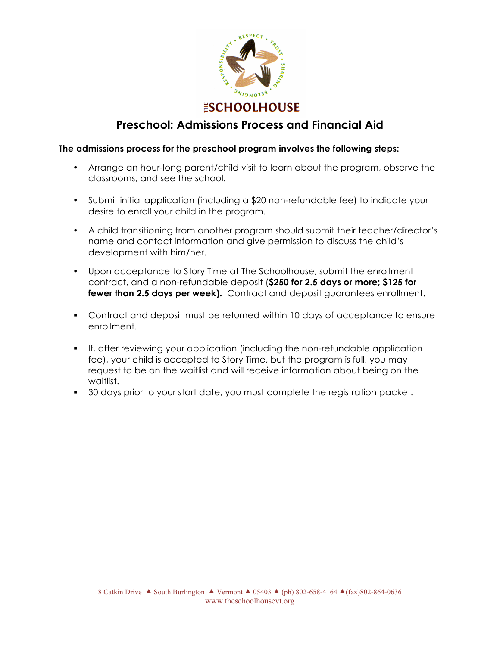

## **Preschool: Admissions Process and Financial Aid**

#### **The admissions process for the preschool program involves the following steps:**

- Arrange an hour-long parent/child visit to learn about the program, observe the classrooms, and see the school.
- Submit initial application (including a \$20 non-refundable fee) to indicate your desire to enroll your child in the program.
- A child transitioning from another program should submit their teacher/director's name and contact information and give permission to discuss the child's development with him/her.
- Upon acceptance to Story Time at The Schoolhouse, submit the enrollment contract, and a non-refundable deposit (**\$250 for 2.5 days or more; \$125 for fewer than 2.5 days per week).** Contract and deposit guarantees enrollment.
- Contract and deposit must be returned within 10 days of acceptance to ensure enrollment.
- If, after reviewing your application (including the non-refundable application fee), your child is accepted to Story Time, but the program is full, you may request to be on the waitlist and will receive information about being on the waitlist.
- 30 days prior to your start date, you must complete the registration packet.